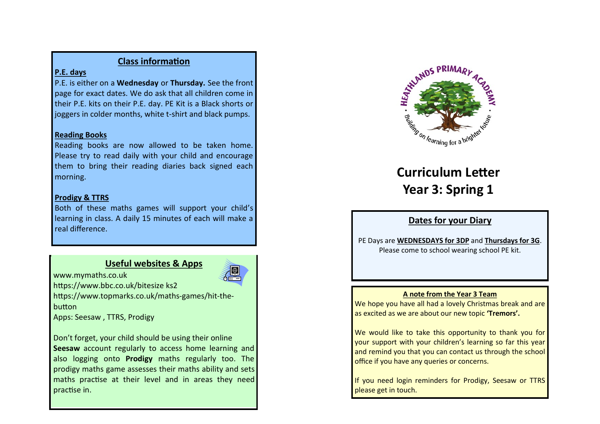# **Class information**

# **P.E. days**

P.E. is either on a **Wednesday** or **Thursday.** See the front page for exact dates. We do ask that all children come in their P.E. kits on their P.E. day. PE Kit is a Black shorts or joggers in colder months, white t-shirt and black pumps.

## **Reading Books**

Reading books are now allowed to be taken home. Please try to read daily with your child and encourage them to bring their reading diaries back signed each morning.

# **Prodigy & TTRS**

Both of these maths games will support your child's learning in class. A daily 15 minutes of each will make a real difference.

# **Useful websites & Apps**



www.mymaths.co.uk https://www.bbc.co.uk/bitesize ks2

https://www.topmarks.co.uk/maths-games/hit-thebutton

Apps: Seesaw , TTRS, Prodigy

Don't forget, your child should be using their online **Seesaw** account regularly to access home learning and also logging onto **Prodigy** maths regularly too. The prodigy maths game assesses their maths ability and sets maths practise at their level and in areas they need practise in.



# **Curriculum Letter Year 3: Spring 1**

# **Dates for your Diary**

PE Days are **WEDNESDAYS for 3DP** and **Thursdays for 3G**. Please come to school wearing school PE kit.

## **A note from the Year 3 Team**

We hope you have all had a lovely Christmas break and are as excited as we are about our new topic **'Tremors'.** 

We would like to take this opportunity to thank you for your support with your children's learning so far this year and remind you that you can contact us through the school office if you have any queries or concerns.

If you need login reminders for Prodigy, Seesaw or TTRS please get in touch.